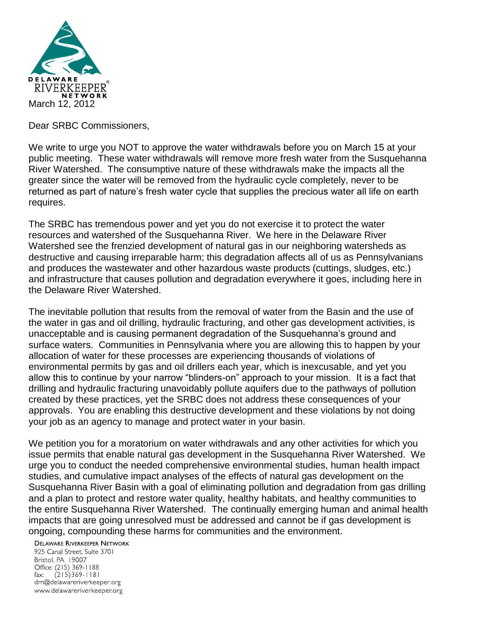

Dear SRBC Commissioners,

We write to urge you NOT to approve the water withdrawals before you on March 15 at your public meeting. These water withdrawals will remove more fresh water from the Susquehanna River Watershed. The consumptive nature of these withdrawals make the impacts all the greater since the water will be removed from the hydraulic cycle completely, never to be returned as part of nature's fresh water cycle that supplies the precious water all life on earth requires.

The SRBC has tremendous power and yet you do not exercise it to protect the water resources and watershed of the Susquehanna River. We here in the Delaware River Watershed see the frenzied development of natural gas in our neighboring watersheds as destructive and causing irreparable harm; this degradation affects all of us as Pennsylvanians and produces the wastewater and other hazardous waste products (cuttings, sludges, etc.) and infrastructure that causes pollution and degradation everywhere it goes, including here in the Delaware River Watershed.

The inevitable pollution that results from the removal of water from the Basin and the use of the water in gas and oil drilling, hydraulic fracturing, and other gas development activities, is unacceptable and is causing permanent degradation of the Susquehanna's ground and surface waters. Communities in Pennsylvania where you are allowing this to happen by your allocation of water for these processes are experiencing thousands of violations of environmental permits by gas and oil drillers each year, which is inexcusable, and yet you allow this to continue by your narrow "blinders-on" approach to your mission. It is a fact that drilling and hydraulic fracturing unavoidably pollute aquifers due to the pathways of pollution created by these practices, yet the SRBC does not address these consequences of your approvals. You are enabling this destructive development and these violations by not doing your job as an agency to manage and protect water in your basin.

We petition you for a moratorium on water withdrawals and any other activities for which you issue permits that enable natural gas development in the Susquehanna River Watershed. We urge you to conduct the needed comprehensive environmental studies, human health impact studies, and cumulative impact analyses of the effects of natural gas development on the Susquehanna River Basin with a goal of eliminating pollution and degradation from gas drilling and a plan to protect and restore water quality, healthy habitats, and healthy communities to the entire Susquehanna River Watershed. The continually emerging human and animal health impacts that are going unresolved must be addressed and cannot be if gas development is ongoing, compounding these harms for communities and the environment.

**DELAWARE RIVERKEEPER NETWORK** 

925 Canal Street, Suite 3701 Bristol, PA 19007 Office: (215) 369-1188 fax:  $(215)369 - 1181$ drn@delawareriverkeeper.org www.delawareriverkeeper.org